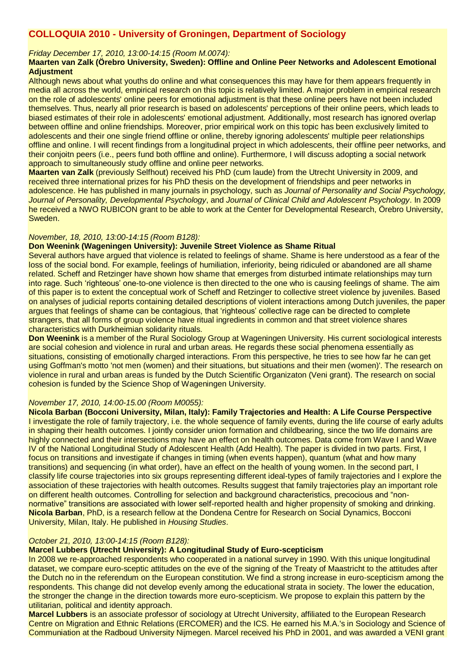# **COLLOQUIA 2010 - University of Groningen, Department of Sociology**

*Friday December 17, 2010, 13:00-14:15 (Room M.0074):*

#### **Maarten van Zalk (Örebro University, Sweden): Offline and Online Peer Networks and Adolescent Emotional Adjustment**

Although news about what youths do online and what consequences this may have for them appears frequently in media all across the world, empirical research on this topic is relatively limited. A major problem in empirical research on the role of adolescents' online peers for emotional adjustment is that these online peers have not been included themselves. Thus, nearly all prior research is based on adolescents' perceptions of their online peers, which leads to biased estimates of their role in adolescents' emotional adjustment. Additionally, most research has ignored overlap between offline and online friendships. Moreover, prior empirical work on this topic has been exclusively limited to adolescents and their one single friend offline or online, thereby ignoring adolescents' multiple peer relationships offline and online. I will recent findings from a longitudinal project in which adolescents, their offline peer networks, and their conjoitn peers (i.e., peers fund both offline and online). Furthermore, I will discuss adopting a social network approach to simultaneously study offline and online peer networks.

**Maarten van Zalk** (previously Selfhout) received his PhD (cum laude) from the Utrecht University in 2009, and received three international prizes for his PhD thesis on the development of friendships and peer networks in adolescence. He has published in many journals in psychology, such as *Journal of Personality and Social Psychology, Journal of Personality, Developmental Psychology*, and *Journal of Clinical Child and Adolescent Psychology*. In 2009 he received a NWO RUBICON grant to be able to work at the Center for Developmental Research, Örebro University, Sweden.

#### *November, 18, 2010, 13:00-14:15 (Room B128):*

## **Don Weenink (Wageningen University): Juvenile Street Violence as Shame Ritual**

Several authors have argued that violence is related to feelings of shame. Shame is here understood as a fear of the loss of the social bond. For example, feelings of humiliation, inferiority, being ridiculed or abandoned are all shame related. Scheff and Retzinger have shown how shame that emerges from disturbed intimate relationships may turn into rage. Such 'righteous' one-to-one violence is then directed to the one who is causing feelings of shame. The aim of this paper is to extent the conceptual work of Scheff and Retzinger to collective street violence by juveniles. Based on analyses of judicial reports containing detailed descriptions of violent interactions among Dutch juveniles, the paper argues that feelings of shame can be contagious, that 'righteous' collective rage can be directed to complete strangers, that all forms of group violence have ritual ingredients in common and that street violence shares characteristics with Durkheimian solidarity rituals.

**Don Weenink** is a member of the Rural Sociology Group at Wageningen University. His current sociological interests are social cohesion and violence in rural and urban areas. He regards these social phenomena essentially as situations, consisting of emotionally charged interactions. From this perspective, he tries to see how far he can get using Goffman's motto 'not men (women) and their situations, but situations and their men (women)'. The research on violence in rural and urban areas is funded by the Dutch Scientific Organizaton (Veni grant). The research on social cohesion is funded by the Science Shop of Wageningen University.

#### *November 17, 2010, 14:00-15.00 (Room M0055):*

**Nicola Barban (Bocconi University, Milan, Italy): Family Trajectories and Health: A Life Course Perspective** I investigate the role of family trajectory, i.e. the whole sequence of family events, during the life course of early adults in shaping their health outcomes. I jointly consider union formation and childbearing, since the two life domains are highly connected and their intersections may have an effect on health outcomes. Data come from Wave I and Wave IV of the National Longitudinal Study of Adolescent Health (Add Health). The paper is divided in two parts. First, I focus on transitions and investigate if changes in timing (when events happen), quantum (what and how many transitions) and sequencing (in what order), have an effect on the health of young women. In the second part, I classify life course trajectories into six groups representing different ideal-types of family trajectories and I explore the association of these trajectories with health outcomes. Results suggest that family trajectories play an important role on different health outcomes. Controlling for selection and background characteristics, precocious and "nonnormative" transitions are associated with lower self-reported health and higher propensity of smoking and drinking. **Nicola Barban**, PhD, is a research fellow at the Dondena Centre for Research on Social Dynamics, Bocconi University, Milan, Italy. He published in *Housing Studies*.

#### *October 21, 2010, 13:00-14:15 (Room B128):*

# **Marcel Lubbers (Utrecht University): A Longitudinal Study of Euro-scepticism**

In 2008 we re-approached respondents who cooperated in a national survey in 1990. With this unique longitudinal dataset, we compare euro-sceptic attitudes on the eve of the signing of the Treaty of Maastricht to the attitudes after the Dutch no in the referendum on the European constitution. We find a strong increase in euro-scepticism among the respondents. This change did not develop evenly among the educational strata in society. The lower the education, the stronger the change in the direction towards more euro-scepticism. We propose to explain this pattern by the utilitarian, political and identity approach.

**Marcel Lubbers** is an associate professor of sociology at Utrecht University, affiliated to the European Research Centre on Migration and Ethnic Relations (ERCOMER) and the ICS. He earned his M.A.'s in Sociology and Science of Communiation at the Radboud University Nijmegen. Marcel received his PhD in 2001, and was awarded a VENI grant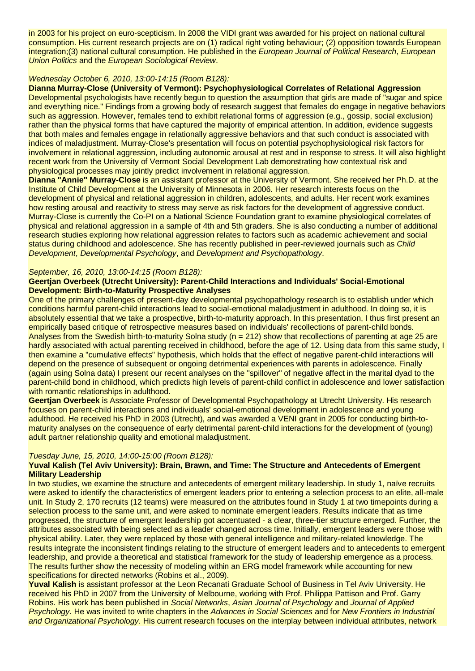in 2003 for his project on euro-scepticism. In 2008 the VIDI grant was awarded for his project on national cultural consumption. His current research projects are on (1) radical right voting behaviour; (2) opposition towards European integration;(3) national cultural consumption. He published in the *European Journal of Political Research*, *European Union Politics* and the *European Sociological Review*.

# *Wednesday October 6, 2010, 13:00-14:15 (Room B128):*

**Dianna Murray-Close (University of Vermont): Psychophysiological Correlates of Relational Aggression** Developmental psychologists have recently begun to question the assumption that girls are made of "sugar and spice and everything nice." Findings from a growing body of research suggest that females do engage in negative behaviors such as aggression. However, females tend to exhibit relational forms of aggression (e.g., gossip, social exclusion) rather than the physical forms that have captured the majority of empirical attention. In addition, evidence suggests that both males and females engage in relationally aggressive behaviors and that such conduct is associated with indices of maladjustment. Murray-Close's presentation will focus on potential psychophysiological risk factors for involvement in relational aggression, including autonomic arousal at rest and in response to stress. It will also highlight recent work from the University of Vermont Social Development Lab demonstrating how contextual risk and physiological processes may jointly predict involvement in relational aggression.

**Dianna "Annie" Murray-Close** is an assistant professor at the University of Vermont. She received her Ph.D. at the Institute of Child Development at the University of Minnesota in 2006. Her research interests focus on the development of physical and relational aggression in children, adolescents, and adults. Her recent work examines how resting arousal and reactivity to stress may serve as risk factors for the development of aggressive conduct. Murray-Close is currently the Co-PI on a National Science Foundation grant to examine physiological correlates of physical and relational aggression in a sample of 4th and 5th graders. She is also conducting a number of additional research studies exploring how relational aggression relates to factors such as academic achievement and social status during childhood and adolescence. She has recently published in peer-reviewed journals such as *Child Development*, *Developmental Psychology*, and *Development and Psychopathology*.

## *September, 16, 2010, 13:00-14:15 (Room B128):*

#### **Geertjan Overbeek (Utrecht University): Parent-Child Interactions and Individuals' Social-Emotional Development: Birth-to-Maturity Prospective Analyses**

One of the primary challenges of present-day developmental psychopathology research is to establish under which conditions harmful parent-child interactions lead to social-emotional maladjustment in adulthood. In doing so, it is absolutely essential that we take a prospective, birth-to-maturity approach. In this presentation, I thus first present an empirically based critique of retrospective measures based on individuals' recollections of parent-child bonds. Analyses from the Swedish birth-to-maturity Solna study ( $n = 212$ ) show that recollections of parenting at age 25 are hardly associated with actual parenting received in childhood, before the age of 12. Using data from this same study, I then examine a "cumulative effects" hypothesis, which holds that the effect of negative parent-child interactions will depend on the presence of subsequent or ongoing detrimental experiences with parents in adolescence. Finally (again using Solna data) I present our recent analyses on the "spillover" of negative affect in the marital dyad to the parent-child bond in childhood, which predicts high levels of parent-child conflict in adolescence and lower satisfaction with romantic relationships in adulthood.

**Geertjan Overbeek** is Associate Professor of Developmental Psychopathology at Utrecht University. His research focuses on parent-child interactions and individuals' social-emotional development in adolescence and young adulthood. He received his PhD in 2003 (Utrecht), and was awarded a VENI grant in 2005 for conducting birth-tomaturity analyses on the consequence of early detrimental parent-child interactions for the development of (young) adult partner relationship quality and emotional maladjustment.

#### *Tuesday June, 15, 2010, 14:00-15:00 (Room B128):*

#### **Yuval Kalish (Tel Aviv University): Brain, Brawn, and Time: The Structure and Antecedents of Emergent Military Leadership**

In two studies, we examine the structure and antecedents of emergent military leadership. In study 1, naïve recruits were asked to identify the characteristics of emergent leaders prior to entering a selection process to an elite, all-male unit. In Study 2, 170 recruits (12 teams) were measured on the attributes found in Study 1 at two timepoints during a selection process to the same unit, and were asked to nominate emergent leaders. Results indicate that as time progressed, the structure of emergent leadership got accentuated - a clear, three-tier structure emerged. Further, the attributes associated with being selected as a leader changed across time. Initially, emergent leaders were those with physical ability. Later, they were replaced by those with general intelligence and military-related knowledge. The results integrate the inconsistent findings relating to the structure of emergent leaders and to antecedents to emergent leadership, and provide a theoretical and statistical framework for the study of leadership emergence as a process. The results further show the necessity of modeling within an ERG model framework while accounting for new specifications for directed networks (Robins et al., 2009).

**Yuval Kalish** is assistant professor at the Leon Recanati Graduate School of Business in Tel Aviv University. He received his PhD in 2007 from the University of Melbourne, working with Prof. Philippa Pattison and Prof. Garry Robins. His work has been published in *Social Networks*, *Asian Journal of Psychology* and *Journal of Applied Psychology*. He was invited to write chapters in the *Advances in Social Sciences* and for *New Frontiers in Industrial and Organizational Psychology*. His current research focuses on the interplay between individual attributes, network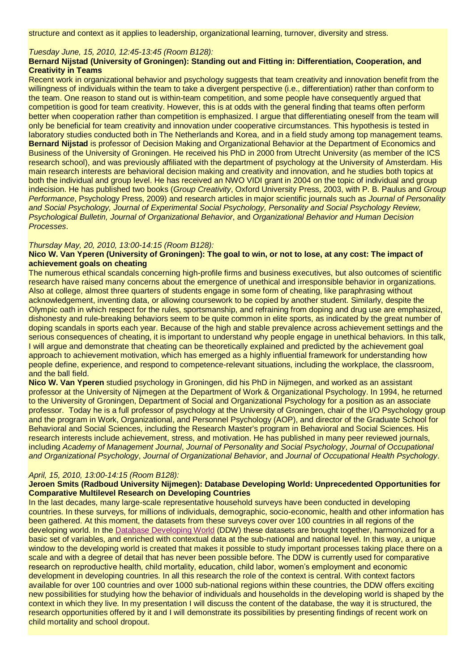structure and context as it applies to leadership, organizational learning, turnover, diversity and stress.

#### *Tuesday June, 15, 2010, 12:45-13:45 (Room B128):*

## **Bernard Nijstad (University of Groningen): Standing out and Fitting in: Differentiation, Cooperation, and Creativity in Teams**

Recent work in organizational behavior and psychology suggests that team creativity and innovation benefit from the willingness of individuals within the team to take a divergent perspective (i.e., differentiation) rather than conform to the team. One reason to stand out is within-team competition, and some people have consequently argued that competition is good for team creativity. However, this is at odds with the general finding that teams often perform better when cooperation rather than competition is emphasized. I argue that differentiating oneself from the team will only be beneficial for team creativity and innovation under cooperative circumstances. This hypothesis is tested in laboratory studies conducted both in The Netherlands and Korea, and in a field study among top management teams. **Bernard Nijstad** is professor of Decision Making and Organizational Behavior at the Department of Economics and Business of the University of Groningen. He received his PhD in 2000 from Utrecht University (as member of the ICS research school), and was previously affiliated with the department of psychology at the University of Amsterdam. His main research interests are behavioral decision making and creativity and innovation, and he studies both topics at both the individual and group level. He has received an NWO VIDI grant in 2004 on the topic of individual and group indecision. He has published two books (*Group Creativity*, Oxford University Press, 2003, with P. B. Paulus and *Group Performance*, Psychology Press, 2009) and research articles in major scientific journals such as *Journal of Personality and Social Psychology, Journal of Experimental Social Psychology, Personality and Social Psychology Review, Psychological Bulletin, Journal of Organizational Behavior*, and *Organizational Behavior and Human Decision Processes*.

#### *Thursday May, 20, 2010, 13:00-14:15 (Room B128):*

#### **Nico W. Van Yperen (University of Groningen): The goal to win, or not to lose, at any cost: The impact of achievement goals on cheating**

The numerous ethical scandals concerning high-profile firms and business executives, but also outcomes of scientific research have raised many concerns about the emergence of unethical and irresponsible behavior in organizations. Also at college, almost three quarters of students engage in some form of cheating, like paraphrasing without acknowledgement, inventing data, or allowing coursework to be copied by another student. Similarly, despite the Olympic oath in which respect for the rules, sportsmanship, and refraining from doping and drug use are emphasized, dishonesty and rule-breaking behaviors seem to be quite common in elite sports, as indicated by the great number of doping scandals in sports each year. Because of the high and stable prevalence across achievement settings and the serious consequences of cheating, it is important to understand why people engage in unethical behaviors. In this talk, I will argue and demonstrate that cheating can be theoretically explained and predicted by the achievement goal approach to achievement motivation, which has emerged as a highly influential framework for understanding how people define, experience, and respond to competence-relevant situations, including the workplace, the classroom, and the ball field.

**Nico W. Van Yperen** studied psychology in Groningen, did his PhD in Nijmegen, and worked as an assistant professor at the University of Nijmegen at the Department of Work & Organizational Psychology. In 1994, he returned to the University of Groningen, Department of Social and Organizational Psychology for a position as an associate professor. Today he is a full professor of psychology at the University of Groningen, chair of the I/O Psychology group and the program in Work, Organizational, and Personnel Psychology (AOP), and director of the Graduate School for Behavioral and Social Sciences, including the Research Master's program in Behavioral and Social Sciences. His research interests include achievement, stress, and motivation. He has published in many peer reviewed journals, including *Academy of Management Journal*, *Journal of Personality and Social Psychology*, *Journal of Occupational and Organizational Psychology*, *Journal of Organizational Behavior*, and *Journal of Occupational Health Psychology*.

#### *April, 15, 2010, 13:00-14:15 (Room B128):*

## **Jeroen Smits (Radboud University Nijmegen): Database Developing World: Unprecedented Opportunities for Comparative Multilevel Research on Developing Countries**

In the last decades, many large-scale representative household surveys have been conducted in developing countries. In these surveys, for millions of individuals, demographic, socio-economic, health and other information has been gathered. At this moment, the datasets from these surveys cover over 100 countries in all regions of the developing world. In the [Database Developing World](http://www.databasedevelopingworld.org/) (DDW) these datasets are brought together, harmonized for a basic set of variables, and enriched with contextual data at the sub-national and national level. In this way, a unique window to the developing world is created that makes it possible to study important processes taking place there on a scale and with a degree of detail that has never been possible before. The DDW is currently used for comparative research on reproductive health, child mortality, education, child labor, women's employment and economic development in developing countries. In all this research the role of the context is central. With context factors available for over 100 countries and over 1000 sub-national regions within these countries, the DDW offers exciting new possibilities for studying how the behavior of individuals and households in the developing world is shaped by the context in which they live. In my presentation I will discuss the content of the database, the way it is structured, the research opportunities offered by it and I will demonstrate its possibilities by presenting findings of recent work on child mortality and school dropout.